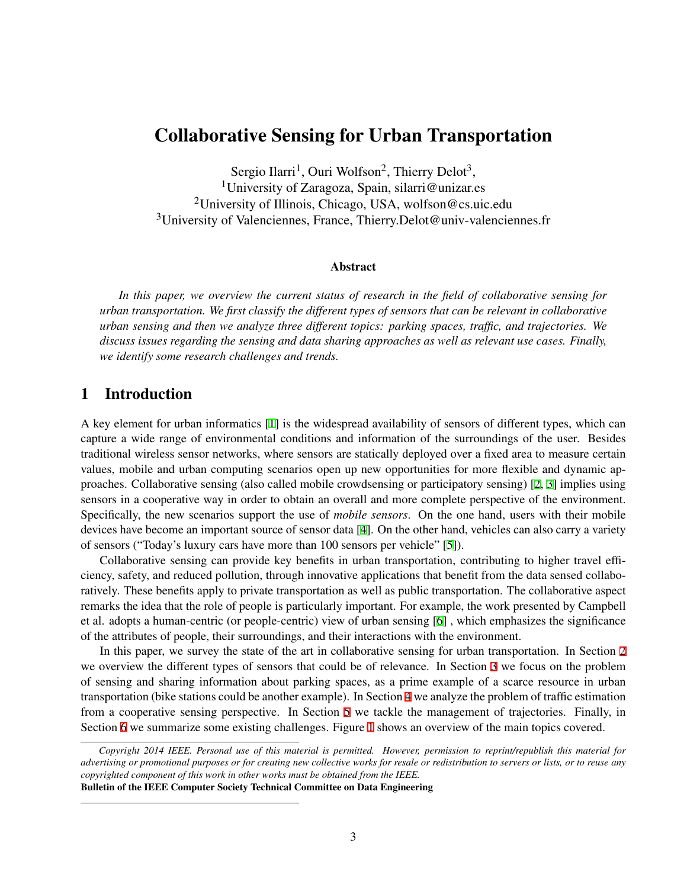# Collaborative Sensing for Urban Transportation

Sergio Ilarri<sup>1</sup>, Ouri Wolfson<sup>2</sup>, Thierry Delot<sup>3</sup>, <sup>1</sup>University of Zaragoza, Spain, silarri@unizar.es <sup>2</sup>University of Illinois, Chicago, USA, wolfson@cs.uic.edu <sup>3</sup>University of Valenciennes, France, Thierry.Delot@univ-valenciennes.fr

#### Abstract

*In this paper, we overview the current status of research in the field of collaborative sensing for urban transportation. We first classify the different types of sensors that can be relevant in collaborative urban sensing and then we analyze three different topics: parking spaces, traffic, and trajectories. We discuss issues regarding the sensing and data sharing approaches as well as relevant use cases. Finally, we identify some research challenges and trends.*

#### 1 Introduction

A key element for urban informatics [[1](#page-8-0)] is the widespread availability of sensors of different types, which can capture a wide range of environmental conditions and information of the surroundings of the user. Besides traditional wireless sensor networks, where sensors are statically deployed over a fixed area to measure certain values, mobile and urban computing scenarios open up new opportunities for more flexible and dynamic approaches. Collaborative sensing (also called mobile crowdsensing or participatory sensing) [\[2,](#page-8-1) [3\]](#page-8-2) implies using sensors in a cooperative way in order to obtain an overall and more complete perspective of the environment. Specifically, the new scenarios support the use of *mobile sensors*. On the one hand, users with their mobile devices have become an important source of sensor data [\[4\]](#page-8-3). On the other hand, vehicles can also carry a variety of sensors ("Today's luxury cars have more than 100 sensors per vehicle" [\[5\]](#page-8-4)).

Collaborative sensing can provide key benefits in urban transportation, contributing to higher travel efficiency, safety, and reduced pollution, through innovative applications that benefit from the data sensed collaboratively. These benefits apply to private transportation as well as public transportation. The collaborative aspect remarks the idea that the role of people is particularly important. For example, the work presented by Campbell et al. adopts a human-centric (or people-centric) view of urban sensing [\[6\]](#page-8-5) , which emphasizes the significance of the attributes of people, their surroundings, and their interactions with the environment.

In this paper, we survey the state of the art in collaborative sensing for urban transportation. In Section [2](#page-1-0) we overview the different types of sensors that could be of relevance. In Section [3](#page-2-0) we focus on the problem of sensing and sharing information about parking spaces, as a prime example of a scarce resource in urban transportation (bike stations could be another example). In Section [4](#page-3-0) we analyze the problem of traffic estimation from a cooperative sensing perspective. In Section [5](#page-5-0) we tackle the management of trajectories. Finally, in Section [6](#page-6-0) we summarize some existing challenges. Figure [1](#page-1-1) shows an overview of the main topics covered.

Bulletin of the IEEE Computer Society Technical Committee on Data Engineering

*Copyright 2014 IEEE. Personal use of this material is permitted. However, permission to reprint/republish this material for advertising or promotional purposes or for creating new collective works for resale or redistribution to servers or lists, or to reuse any copyrighted component of this work in other works must be obtained from the IEEE.*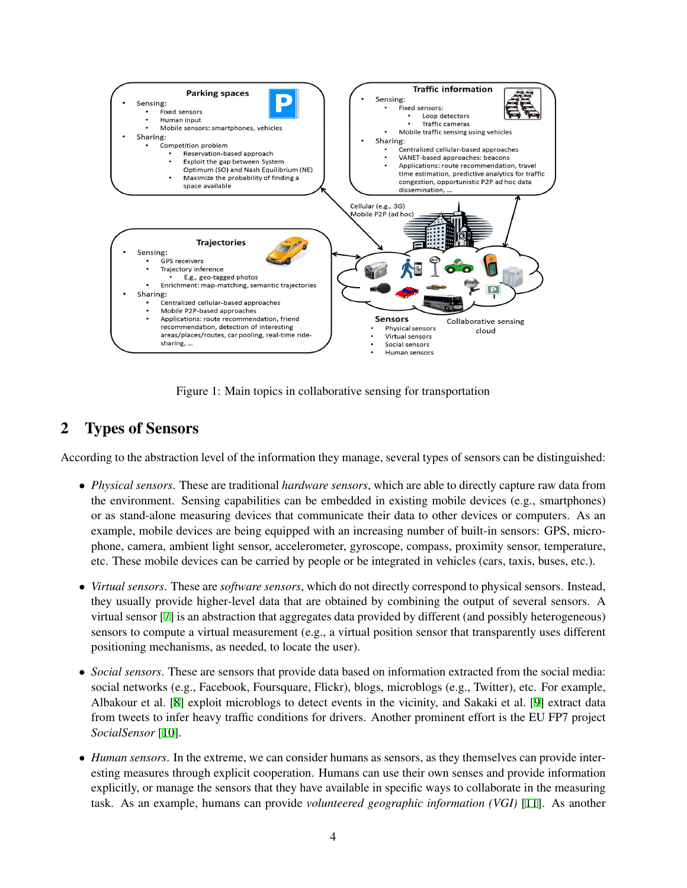<span id="page-1-1"></span>

Figure 1: Main topics in collaborative sensing for transportation

# <span id="page-1-0"></span>2 Types of Sensors

According to the abstraction level of the information they manage, several types of sensors can be distinguished:

- *• Physical sensors*. These are traditional *hardware sensors*, which are able to directly capture raw data from the environment. Sensing capabilities can be embedded in existing mobile devices (e.g., smartphones) or as stand-alone measuring devices that communicate their data to other devices or computers. As an example, mobile devices are being equipped with an increasing number of built-in sensors: GPS, microphone, camera, ambient light sensor, accelerometer, gyroscope, compass, proximity sensor, temperature, etc. These mobile devices can be carried by people or be integrated in vehicles (cars, taxis, buses, etc.).
- *• Virtual sensors*. These are *software sensors*, which do not directly correspond to physical sensors. Instead, they usually provide higher-level data that are obtained by combining the output of several sensors. A virtual sensor [\[7\]](#page-8-6) is an abstraction that aggregates data provided by different (and possibly heterogeneous) sensors to compute a virtual measurement (e.g., a virtual position sensor that transparently uses different positioning mechanisms, as needed, to locate the user).
- *Social sensors*. These are sensors that provide data based on information extracted from the social media: social networks (e.g., Facebook, Foursquare, Flickr), blogs, microblogs (e.g., Twitter), etc. For example, Albakour et al. [\[8\]](#page-8-7) exploit microblogs to detect events in the vicinity, and Sakaki et al. [\[9\]](#page-8-8) extract data from tweets to infer heavy traffic conditions for drivers. Another prominent effort is the EU FP7 project *SocialSensor* [[10\]](#page-8-9).
- *Human sensors*. In the extreme, we can consider humans as sensors, as they themselves can provide interesting measures through explicit cooperation. Humans can use their own senses and provide information explicitly, or manage the sensors that they have available in specific ways to collaborate in the measuring task. As an example, humans can provide *volunteered geographic information (VGI)* [\[11](#page-8-10)]. As another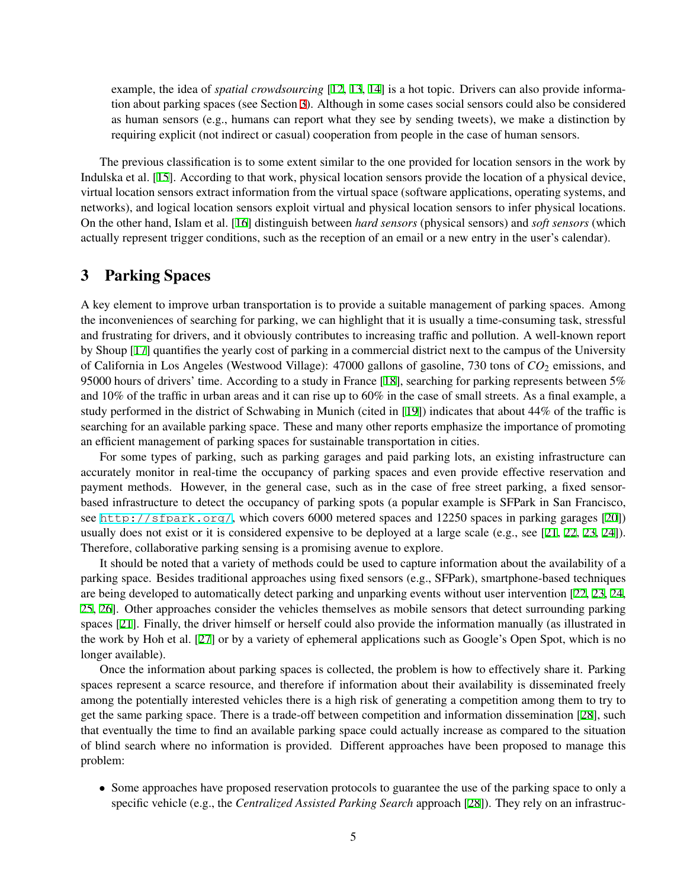example, the idea of *spatial crowdsourcing* [\[12](#page-8-11), [13,](#page-8-12) [14](#page-8-13)] is a hot topic. Drivers can also provide information about parking spaces (see Section [3](#page-2-0)). Although in some cases social sensors could also be considered as human sensors (e.g., humans can report what they see by sending tweets), we make a distinction by requiring explicit (not indirect or casual) cooperation from people in the case of human sensors.

The previous classification is to some extent similar to the one provided for location sensors in the work by Indulska et al. [[15\]](#page-8-14). According to that work, physical location sensors provide the location of a physical device, virtual location sensors extract information from the virtual space (software applications, operating systems, and networks), and logical location sensors exploit virtual and physical location sensors to infer physical locations. On the other hand, Islam et al. [[16\]](#page-8-15) distinguish between *hard sensors* (physical sensors) and *soft sensors* (which actually represent trigger conditions, such as the reception of an email or a new entry in the user's calendar).

#### <span id="page-2-0"></span>3 Parking Spaces

A key element to improve urban transportation is to provide a suitable management of parking spaces. Among the inconveniences of searching for parking, we can highlight that it is usually a time-consuming task, stressful and frustrating for drivers, and it obviously contributes to increasing traffic and pollution. A well-known report by Shoup [[17\]](#page-8-16) quantifies the yearly cost of parking in a commercial district next to the campus of the University of California in Los Angeles (Westwood Village): 47000 gallons of gasoline, 730 tons of  $CO_2$  emissions, and 95000 hours of drivers' time. According to a study in France [\[18](#page-8-17)], searching for parking represents between 5% and 10% of the traffic in urban areas and it can rise up to 60% in the case of small streets. As a final example, a study performed in the district of Schwabing in Munich (cited in [[19\]](#page-8-18)) indicates that about 44% of the traffic is searching for an available parking space. These and many other reports emphasize the importance of promoting an efficient management of parking spaces for sustainable transportation in cities.

For some types of parking, such as parking garages and paid parking lots, an existing infrastructure can accurately monitor in real-time the occupancy of parking spaces and even provide effective reservation and payment methods. However, in the general case, such as in the case of free street parking, a fixed sensorbased infrastructure to detect the occupancy of parking spots (a popular example is SFPark in San Francisco, see <http://sfpark.org/>, which covers 6000 metered spaces and 12250 spaces in parking garages [[20\]](#page-8-19)) usually does not exist or it is considered expensive to be deployed at a large scale (e.g., see [\[21,](#page-9-0) [22,](#page-9-1) [23,](#page-9-2) [24](#page-9-3)]). Therefore, collaborative parking sensing is a promising avenue to explore.

It should be noted that a variety of methods could be used to capture information about the availability of a parking space. Besides traditional approaches using fixed sensors (e.g., SFPark), smartphone-based techniques are being developed to automatically detect parking and unparking events without user intervention [[22,](#page-9-1) [23,](#page-9-2) [24](#page-9-3), [25,](#page-9-4) [26\]](#page-9-5). Other approaches consider the vehicles themselves as mobile sensors that detect surrounding parking spaces [\[21\]](#page-9-0). Finally, the driver himself or herself could also provide the information manually (as illustrated in the work by Hoh et al. [\[27](#page-9-6)] or by a variety of ephemeral applications such as Google's Open Spot, which is no longer available).

Once the information about parking spaces is collected, the problem is how to effectively share it. Parking spaces represent a scarce resource, and therefore if information about their availability is disseminated freely among the potentially interested vehicles there is a high risk of generating a competition among them to try to get the same parking space. There is a trade-off between competition and information dissemination [[28\]](#page-9-7), such that eventually the time to find an available parking space could actually increase as compared to the situation of blind search where no information is provided. Different approaches have been proposed to manage this problem:

• Some approaches have proposed reservation protocols to guarantee the use of the parking space to only a specific vehicle (e.g., the *Centralized Assisted Parking Search* approach [\[28](#page-9-7)]). They rely on an infrastruc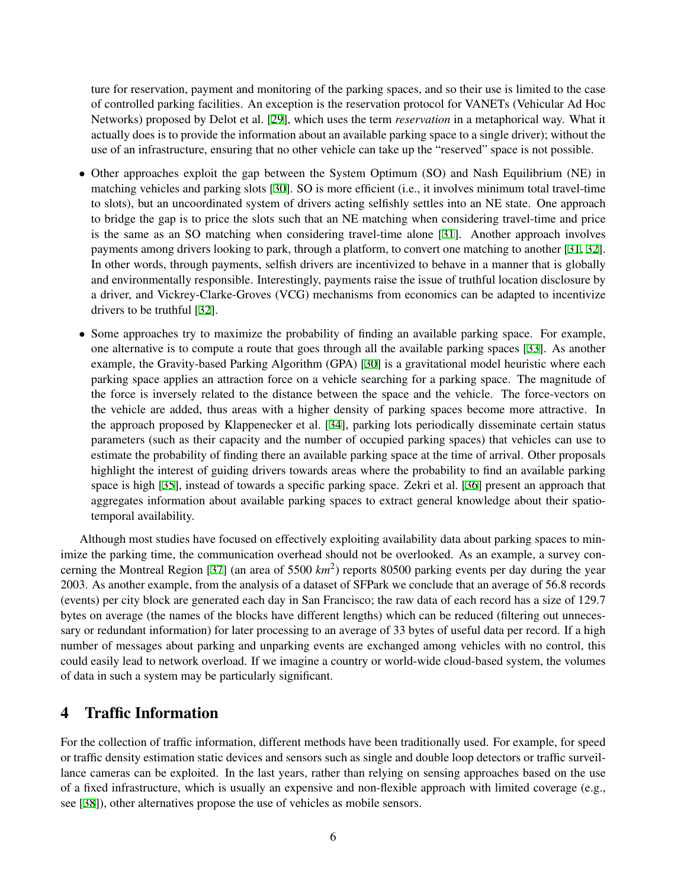ture for reservation, payment and monitoring of the parking spaces, and so their use is limited to the case of controlled parking facilities. An exception is the reservation protocol for VANETs (Vehicular Ad Hoc Networks) proposed by Delot et al. [[29\]](#page-9-8), which uses the term *reservation* in a metaphorical way. What it actually does is to provide the information about an available parking space to a single driver); without the use of an infrastructure, ensuring that no other vehicle can take up the "reserved" space is not possible.

- Other approaches exploit the gap between the System Optimum (SO) and Nash Equilibrium (NE) in matching vehicles and parking slots [[30\]](#page-9-9). SO is more efficient (i.e., it involves minimum total travel-time to slots), but an uncoordinated system of drivers acting selfishly settles into an NE state. One approach to bridge the gap is to price the slots such that an NE matching when considering travel-time and price is the same as an SO matching when considering travel-time alone [\[31](#page-9-10)]. Another approach involves payments among drivers looking to park, through a platform, to convert one matching to another [\[31](#page-9-10), [32\]](#page-9-11). In other words, through payments, selfish drivers are incentivized to behave in a manner that is globally and environmentally responsible. Interestingly, payments raise the issue of truthful location disclosure by a driver, and Vickrey-Clarke-Groves (VCG) mechanisms from economics can be adapted to incentivize drivers to be truthful [\[32](#page-9-11)].
- Some approaches try to maximize the probability of finding an available parking space. For example, one alternative is to compute a route that goes through all the available parking spaces [[33\]](#page-9-12). As another example, the Gravity-based Parking Algorithm (GPA) [\[30](#page-9-9)] is a gravitational model heuristic where each parking space applies an attraction force on a vehicle searching for a parking space. The magnitude of the force is inversely related to the distance between the space and the vehicle. The force-vectors on the vehicle are added, thus areas with a higher density of parking spaces become more attractive. In the approach proposed by Klappenecker et al. [\[34](#page-9-13)], parking lots periodically disseminate certain status parameters (such as their capacity and the number of occupied parking spaces) that vehicles can use to estimate the probability of finding there an available parking space at the time of arrival. Other proposals highlight the interest of guiding drivers towards areas where the probability to find an available parking space is high [[35\]](#page-9-14), instead of towards a specific parking space. Zekri et al. [\[36](#page-9-15)] present an approach that aggregates information about available parking spaces to extract general knowledge about their spatiotemporal availability.

Although most studies have focused on effectively exploiting availability data about parking spaces to minimize the parking time, the communication overhead should not be overlooked. As an example, a survey con-cerning the Montreal Region [[37\]](#page-9-16) (an area of 5500 km<sup>2</sup>) reports 80500 parking events per day during the year 2003. As another example, from the analysis of a dataset of SFPark we conclude that an average of 56.8 records (events) per city block are generated each day in San Francisco; the raw data of each record has a size of 129.7 bytes on average (the names of the blocks have different lengths) which can be reduced (filtering out unnecessary or redundant information) for later processing to an average of 33 bytes of useful data per record. If a high number of messages about parking and unparking events are exchanged among vehicles with no control, this could easily lead to network overload. If we imagine a country or world-wide cloud-based system, the volumes of data in such a system may be particularly significant.

### <span id="page-3-0"></span>4 Traffic Information

For the collection of traffic information, different methods have been traditionally used. For example, for speed or traffic density estimation static devices and sensors such as single and double loop detectors or traffic surveillance cameras can be exploited. In the last years, rather than relying on sensing approaches based on the use of a fixed infrastructure, which is usually an expensive and non-flexible approach with limited coverage (e.g., see [\[38](#page-9-17)]), other alternatives propose the use of vehicles as mobile sensors.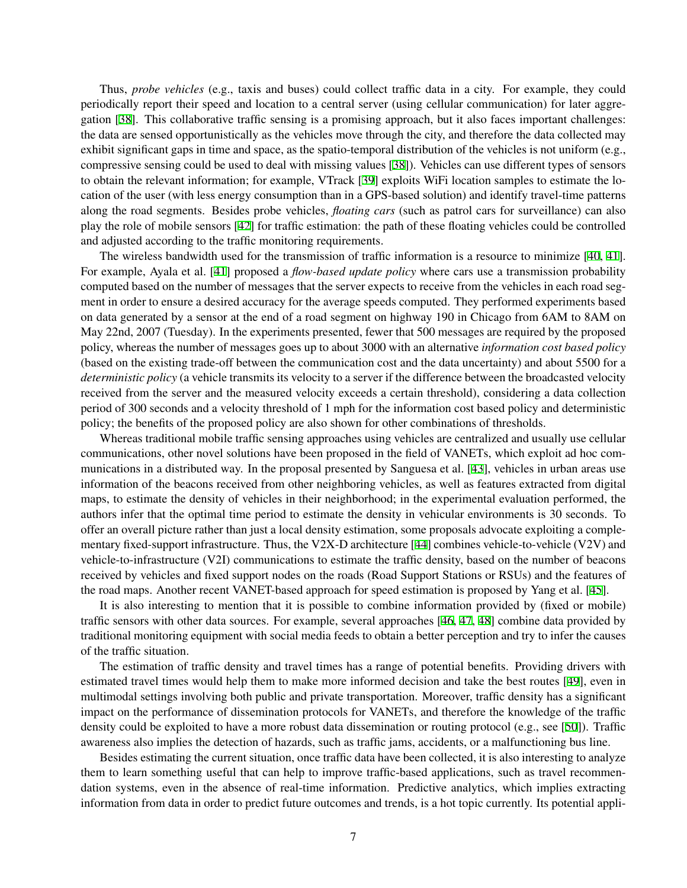Thus, *probe vehicles* (e.g., taxis and buses) could collect traffic data in a city. For example, they could periodically report their speed and location to a central server (using cellular communication) for later aggregation [\[38](#page-9-17)]. This collaborative traffic sensing is a promising approach, but it also faces important challenges: the data are sensed opportunistically as the vehicles move through the city, and therefore the data collected may exhibit significant gaps in time and space, as the spatio-temporal distribution of the vehicles is not uniform (e.g., compressive sensing could be used to deal with missing values [\[38](#page-9-17)]). Vehicles can use different types of sensors to obtain the relevant information; for example, VTrack [[39\]](#page-9-18) exploits WiFi location samples to estimate the location of the user (with less energy consumption than in a GPS-based solution) and identify travel-time patterns along the road segments. Besides probe vehicles, *floating cars* (such as patrol cars for surveillance) can also play the role of mobile sensors [\[42](#page-10-0)] for traffic estimation: the path of these floating vehicles could be controlled and adjusted according to the traffic monitoring requirements.

The wireless bandwidth used for the transmission of traffic information is a resource to minimize [\[40,](#page-9-19) [41\]](#page-10-1). For example, Ayala et al. [[41\]](#page-10-1) proposed a *flow-based update policy* where cars use a transmission probability computed based on the number of messages that the server expects to receive from the vehicles in each road segment in order to ensure a desired accuracy for the average speeds computed. They performed experiments based on data generated by a sensor at the end of a road segment on highway 190 in Chicago from 6AM to 8AM on May 22nd, 2007 (Tuesday). In the experiments presented, fewer that 500 messages are required by the proposed policy, whereas the number of messages goes up to about 3000 with an alternative *information cost based policy* (based on the existing trade-off between the communication cost and the data uncertainty) and about 5500 for a *deterministic policy* (a vehicle transmits its velocity to a server if the difference between the broadcasted velocity received from the server and the measured velocity exceeds a certain threshold), considering a data collection period of 300 seconds and a velocity threshold of 1 mph for the information cost based policy and deterministic policy; the benefits of the proposed policy are also shown for other combinations of thresholds.

Whereas traditional mobile traffic sensing approaches using vehicles are centralized and usually use cellular communications, other novel solutions have been proposed in the field of VANETs, which exploit ad hoc communications in a distributed way. In the proposal presented by Sanguesa et al. [\[43](#page-10-2)], vehicles in urban areas use information of the beacons received from other neighboring vehicles, as well as features extracted from digital maps, to estimate the density of vehicles in their neighborhood; in the experimental evaluation performed, the authors infer that the optimal time period to estimate the density in vehicular environments is 30 seconds. To offer an overall picture rather than just a local density estimation, some proposals advocate exploiting a complementary fixed-support infrastructure. Thus, the V2X-D architecture [[44\]](#page-10-3) combines vehicle-to-vehicle (V2V) and vehicle-to-infrastructure (V2I) communications to estimate the traffic density, based on the number of beacons received by vehicles and fixed support nodes on the roads (Road Support Stations or RSUs) and the features of the road maps. Another recent VANET-based approach for speed estimation is proposed by Yang et al. [[45\]](#page-10-4).

It is also interesting to mention that it is possible to combine information provided by (fixed or mobile) traffic sensors with other data sources. For example, several approaches [\[46](#page-10-5), [47,](#page-10-6) [48](#page-10-7)] combine data provided by traditional monitoring equipment with social media feeds to obtain a better perception and try to infer the causes of the traffic situation.

The estimation of traffic density and travel times has a range of potential benefits. Providing drivers with estimated travel times would help them to make more informed decision and take the best routes [[49\]](#page-10-8), even in multimodal settings involving both public and private transportation. Moreover, traffic density has a significant impact on the performance of dissemination protocols for VANETs, and therefore the knowledge of the traffic density could be exploited to have a more robust data dissemination or routing protocol (e.g., see [\[50\]](#page-10-9)). Traffic awareness also implies the detection of hazards, such as traffic jams, accidents, or a malfunctioning bus line.

Besides estimating the current situation, once traffic data have been collected, it is also interesting to analyze them to learn something useful that can help to improve traffic-based applications, such as travel recommendation systems, even in the absence of real-time information. Predictive analytics, which implies extracting information from data in order to predict future outcomes and trends, is a hot topic currently. Its potential appli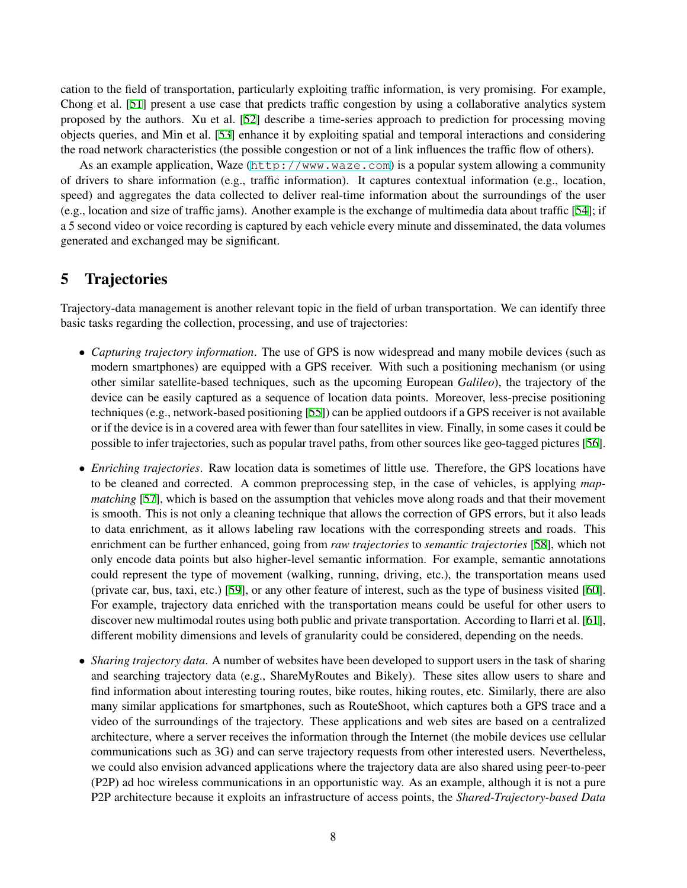cation to the field of transportation, particularly exploiting traffic information, is very promising. For example, Chong et al. [\[51\]](#page-10-10) present a use case that predicts traffic congestion by using a collaborative analytics system proposed by the authors. Xu et al. [\[52](#page-10-11)] describe a time-series approach to prediction for processing moving objects queries, and Min et al. [\[53](#page-10-12)] enhance it by exploiting spatial and temporal interactions and considering the road network characteristics (the possible congestion or not of a link influences the traffic flow of others).

As an example application, Waze (<http://www.waze.com>) is a popular system allowing a community of drivers to share information (e.g., traffic information). It captures contextual information (e.g., location, speed) and aggregates the data collected to deliver real-time information about the surroundings of the user (e.g., location and size of traffic jams). Another example is the exchange of multimedia data about traffic [\[54](#page-10-13)]; if a 5 second video or voice recording is captured by each vehicle every minute and disseminated, the data volumes generated and exchanged may be significant.

### <span id="page-5-0"></span>5 Trajectories

Trajectory-data management is another relevant topic in the field of urban transportation. We can identify three basic tasks regarding the collection, processing, and use of trajectories:

- *• Capturing trajectory information*. The use of GPS is now widespread and many mobile devices (such as modern smartphones) are equipped with a GPS receiver. With such a positioning mechanism (or using other similar satellite-based techniques, such as the upcoming European *Galileo*), the trajectory of the device can be easily captured as a sequence of location data points. Moreover, less-precise positioning techniques (e.g., network-based positioning [[55\]](#page-10-14)) can be applied outdoors if a GPS receiver is not available or if the device is in a covered area with fewer than four satellites in view. Finally, in some cases it could be possible to infer trajectories, such as popular travel paths, from other sources like geo-tagged pictures [[56\]](#page-10-15).
- *• Enriching trajectories*. Raw location data is sometimes of little use. Therefore, the GPS locations have to be cleaned and corrected. A common preprocessing step, in the case of vehicles, is applying *mapmatching* [\[57\]](#page-10-16), which is based on the assumption that vehicles move along roads and that their movement is smooth. This is not only a cleaning technique that allows the correction of GPS errors, but it also leads to data enrichment, as it allows labeling raw locations with the corresponding streets and roads. This enrichment can be further enhanced, going from *raw trajectories* to *semantic trajectories* [[58\]](#page-10-17), which not only encode data points but also higher-level semantic information. For example, semantic annotations could represent the type of movement (walking, running, driving, etc.), the transportation means used (private car, bus, taxi, etc.) [\[59](#page-10-18)], or any other feature of interest, such as the type of business visited [[60\]](#page-10-19). For example, trajectory data enriched with the transportation means could be useful for other users to discover new multimodal routes using both public and private transportation. According to Ilarri et al. [[61\]](#page-10-20), different mobility dimensions and levels of granularity could be considered, depending on the needs.
- *Sharing trajectory data*. A number of websites have been developed to support users in the task of sharing and searching trajectory data (e.g., ShareMyRoutes and Bikely). These sites allow users to share and find information about interesting touring routes, bike routes, hiking routes, etc. Similarly, there are also many similar applications for smartphones, such as RouteShoot, which captures both a GPS trace and a video of the surroundings of the trajectory. These applications and web sites are based on a centralized architecture, where a server receives the information through the Internet (the mobile devices use cellular communications such as 3G) and can serve trajectory requests from other interested users. Nevertheless, we could also envision advanced applications where the trajectory data are also shared using peer-to-peer (P2P) ad hoc wireless communications in an opportunistic way. As an example, although it is not a pure P2P architecture because it exploits an infrastructure of access points, the *Shared-Trajectory-based Data*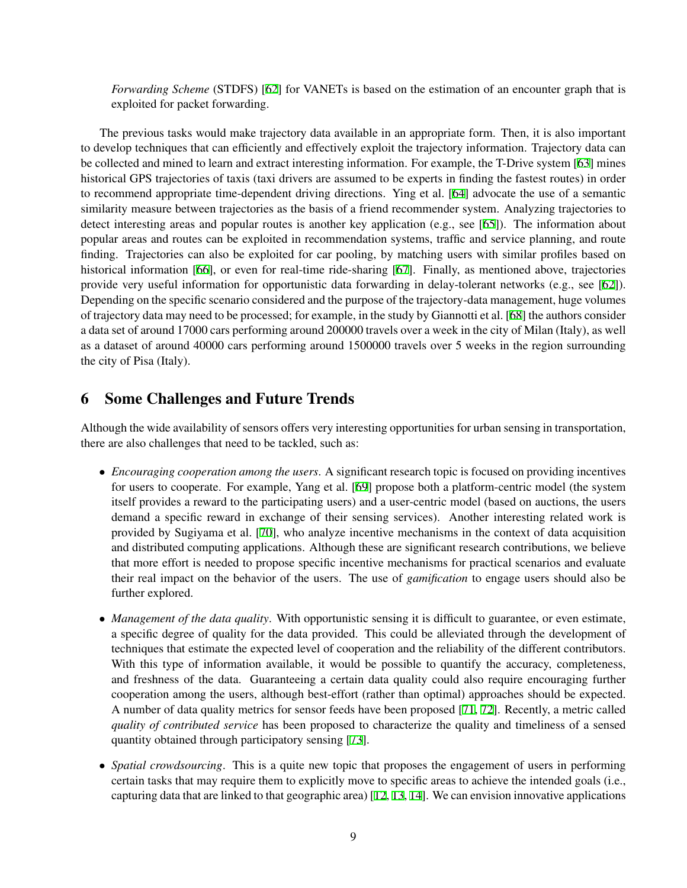*Forwarding Scheme* (STDFS) [[62\]](#page-11-0) for VANETs is based on the estimation of an encounter graph that is exploited for packet forwarding.

The previous tasks would make trajectory data available in an appropriate form. Then, it is also important to develop techniques that can efficiently and effectively exploit the trajectory information. Trajectory data can be collected and mined to learn and extract interesting information. For example, the T-Drive system [[63\]](#page-11-1) mines historical GPS trajectories of taxis (taxi drivers are assumed to be experts in finding the fastest routes) in order to recommend appropriate time-dependent driving directions. Ying et al. [\[64](#page-11-2)] advocate the use of a semantic similarity measure between trajectories as the basis of a friend recommender system. Analyzing trajectories to detect interesting areas and popular routes is another key application (e.g., see [[65\]](#page-11-3)). The information about popular areas and routes can be exploited in recommendation systems, traffic and service planning, and route finding. Trajectories can also be exploited for car pooling, by matching users with similar profiles based on historical information [\[66](#page-11-4)], or even for real-time ride-sharing [\[67](#page-11-5)]. Finally, as mentioned above, trajectories provide very useful information for opportunistic data forwarding in delay-tolerant networks (e.g., see [\[62](#page-11-0)]). Depending on the specific scenario considered and the purpose of the trajectory-data management, huge volumes of trajectory data may need to be processed; for example, in the study by Giannotti et al. [[68](#page-11-6)] the authors consider a data set of around 17000 cars performing around 200000 travels over a week in the city of Milan (Italy), as well as a dataset of around 40000 cars performing around 1500000 travels over 5 weeks in the region surrounding the city of Pisa (Italy).

#### <span id="page-6-0"></span>6 Some Challenges and Future Trends

Although the wide availability of sensors offers very interesting opportunities for urban sensing in transportation, there are also challenges that need to be tackled, such as:

- *Encouraging cooperation among the users*. A significant research topic is focused on providing incentives for users to cooperate. For example, Yang et al. [\[69](#page-11-7)] propose both a platform-centric model (the system itself provides a reward to the participating users) and a user-centric model (based on auctions, the users demand a specific reward in exchange of their sensing services). Another interesting related work is provided by Sugiyama et al. [[70\]](#page-11-8), who analyze incentive mechanisms in the context of data acquisition and distributed computing applications. Although these are significant research contributions, we believe that more effort is needed to propose specific incentive mechanisms for practical scenarios and evaluate their real impact on the behavior of the users. The use of *gamification* to engage users should also be further explored.
- *Management of the data quality*. With opportunistic sensing it is difficult to guarantee, or even estimate, a specific degree of quality for the data provided. This could be alleviated through the development of techniques that estimate the expected level of cooperation and the reliability of the different contributors. With this type of information available, it would be possible to quantify the accuracy, completeness, and freshness of the data. Guaranteeing a certain data quality could also require encouraging further cooperation among the users, although best-effort (rather than optimal) approaches should be expected. A number of data quality metrics for sensor feeds have been proposed [\[71](#page-11-9), [72\]](#page-11-10). Recently, a metric called *quality of contributed service* has been proposed to characterize the quality and timeliness of a sensed quantity obtained through participatory sensing [\[73](#page-11-11)].
- *Spatial crowdsourcing*. This is a quite new topic that proposes the engagement of users in performing certain tasks that may require them to explicitly move to specific areas to achieve the intended goals (i.e., capturing data that are linked to that geographic area) [[12](#page-8-11), [13](#page-8-12), [14](#page-8-13)]. We can envision innovative applications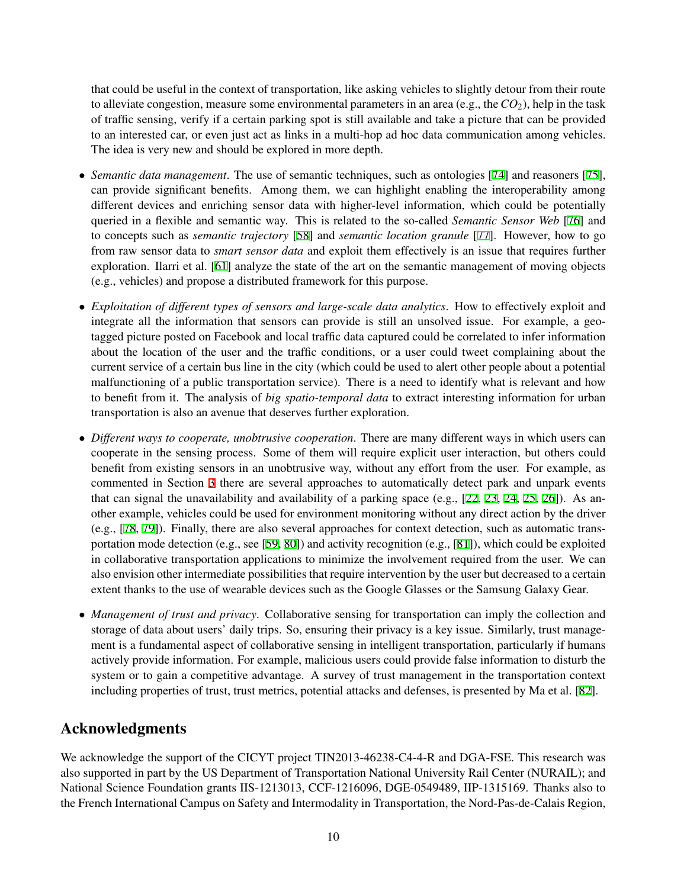that could be useful in the context of transportation, like asking vehicles to slightly detour from their route to alleviate congestion, measure some environmental parameters in an area (e.g., the*CO*2), help in the task of traffic sensing, verify if a certain parking spot is still available and take a picture that can be provided to an interested car, or even just act as links in a multi-hop ad hoc data communication among vehicles. The idea is very new and should be explored in more depth.

- *• Semantic data management*. The use of semantic techniques, such as ontologies [[74\]](#page-11-12) and reasoners [[75\]](#page-11-13), can provide significant benefits. Among them, we can highlight enabling the interoperability among different devices and enriching sensor data with higher-level information, which could be potentially queried in a flexible and semantic way. This is related to the so-called *Semantic Sensor Web* [[76\]](#page-11-14) and to concepts such as *semantic trajectory* [[58\]](#page-10-17) and *semantic location granule* [\[77](#page-11-15)]. However, how to go from raw sensor data to *smart sensor data* and exploit them effectively is an issue that requires further exploration. Ilarri et al. [[61\]](#page-10-20) analyze the state of the art on the semantic management of moving objects (e.g., vehicles) and propose a distributed framework for this purpose.
- *• Exploitation of different types of sensors and large-scale data analytics*. How to effectively exploit and integrate all the information that sensors can provide is still an unsolved issue. For example, a geotagged picture posted on Facebook and local traffic data captured could be correlated to infer information about the location of the user and the traffic conditions, or a user could tweet complaining about the current service of a certain bus line in the city (which could be used to alert other people about a potential malfunctioning of a public transportation service). There is a need to identify what is relevant and how to benefit from it. The analysis of *big spatio-temporal data* to extract interesting information for urban transportation is also an avenue that deserves further exploration.
- *Different ways to cooperate, unobtrusive cooperation*. There are many different ways in which users can cooperate in the sensing process. Some of them will require explicit user interaction, but others could benefit from existing sensors in an unobtrusive way, without any effort from the user. For example, as commented in Section [3](#page-2-0) there are several approaches to automatically detect park and unpark events that can signal the unavailability and availability of a parking space (e.g.,  $[22, 23, 24, 25, 26]$  $[22, 23, 24, 25, 26]$  $[22, 23, 24, 25, 26]$  $[22, 23, 24, 25, 26]$  $[22, 23, 24, 25, 26]$  $[22, 23, 24, 25, 26]$  $[22, 23, 24, 25, 26]$  $[22, 23, 24, 25, 26]$  $[22, 23, 24, 25, 26]$ ). As another example, vehicles could be used for environment monitoring without any direct action by the driver (e.g., [\[78](#page-11-16), [79\]](#page-11-17)). Finally, there are also several approaches for context detection, such as automatic transportation mode detection (e.g., see [\[59,](#page-10-18) [80](#page-11-18)]) and activity recognition (e.g., [\[81](#page-11-19)]), which could be exploited in collaborative transportation applications to minimize the involvement required from the user. We can also envision other intermediate possibilities that require intervention by the user but decreased to a certain extent thanks to the use of wearable devices such as the Google Glasses or the Samsung Galaxy Gear.
- *Management of trust and privacy*. Collaborative sensing for transportation can imply the collection and storage of data about users' daily trips. So, ensuring their privacy is a key issue. Similarly, trust management is a fundamental aspect of collaborative sensing in intelligent transportation, particularly if humans actively provide information. For example, malicious users could provide false information to disturb the system or to gain a competitive advantage. A survey of trust management in the transportation context including properties of trust, trust metrics, potential attacks and defenses, is presented by Ma et al. [\[82](#page-11-20)].

## Acknowledgments

We acknowledge the support of the CICYT project TIN2013-46238-C4-4-R and DGA-FSE. This research was also supported in part by the US Department of Transportation National University Rail Center (NURAIL); and National Science Foundation grants IIS-1213013, CCF-1216096, DGE-0549489, IIP-1315169. Thanks also to the French International Campus on Safety and Intermodality in Transportation, the Nord-Pas-de-Calais Region,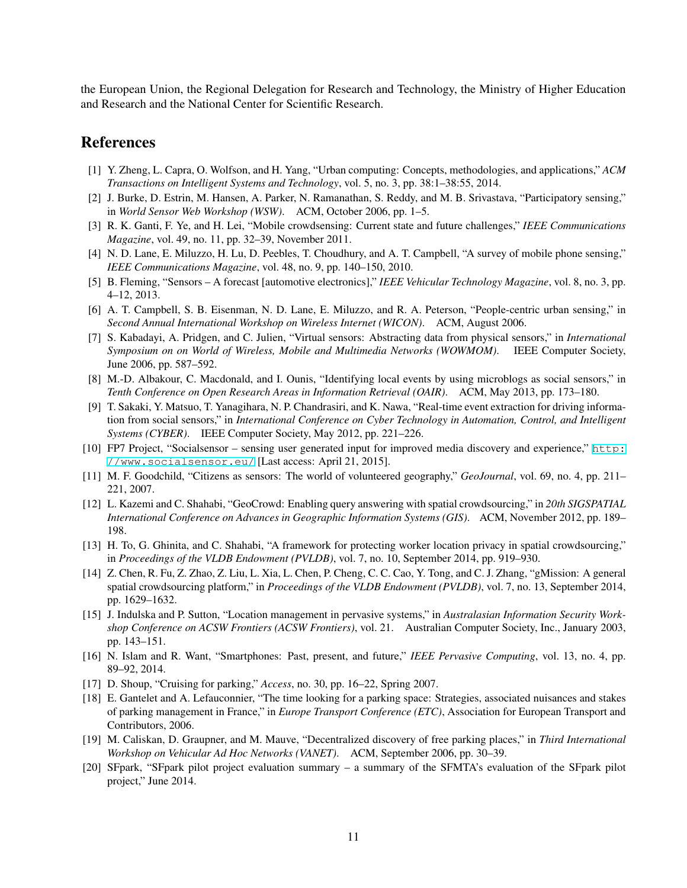the European Union, the Regional Delegation for Research and Technology, the Ministry of Higher Education and Research and the National Center for Scientific Research.

#### References

- <span id="page-8-0"></span>[1] Y. Zheng, L. Capra, O. Wolfson, and H. Yang, "Urban computing: Concepts, methodologies, and applications," *ACM Transactions on Intelligent Systems and Technology*, vol. 5, no. 3, pp. 38:1–38:55, 2014.
- <span id="page-8-1"></span>[2] J. Burke, D. Estrin, M. Hansen, A. Parker, N. Ramanathan, S. Reddy, and M. B. Srivastava, "Participatory sensing," in *World Sensor Web Workshop (WSW)*. ACM, October 2006, pp. 1–5.
- <span id="page-8-2"></span>[3] R. K. Ganti, F. Ye, and H. Lei, "Mobile crowdsensing: Current state and future challenges," *IEEE Communications Magazine*, vol. 49, no. 11, pp. 32–39, November 2011.
- <span id="page-8-3"></span>[4] N. D. Lane, E. Miluzzo, H. Lu, D. Peebles, T. Choudhury, and A. T. Campbell, "A survey of mobile phone sensing," *IEEE Communications Magazine*, vol. 48, no. 9, pp. 140–150, 2010.
- <span id="page-8-4"></span>[5] B. Fleming, "Sensors – A forecast [automotive electronics]," *IEEE Vehicular Technology Magazine*, vol. 8, no. 3, pp. 4–12, 2013.
- <span id="page-8-5"></span>[6] A. T. Campbell, S. B. Eisenman, N. D. Lane, E. Miluzzo, and R. A. Peterson, "People-centric urban sensing," in *Second Annual International Workshop on Wireless Internet (WICON)*. ACM, August 2006.
- <span id="page-8-6"></span>[7] S. Kabadayi, A. Pridgen, and C. Julien, "Virtual sensors: Abstracting data from physical sensors," in *International Symposium on on World of Wireless, Mobile and Multimedia Networks (WOWMOM)*. IEEE Computer Society, June 2006, pp. 587–592.
- <span id="page-8-7"></span>[8] M.-D. Albakour, C. Macdonald, and I. Ounis, "Identifying local events by using microblogs as social sensors," in *Tenth Conference on Open Research Areas in Information Retrieval (OAIR)*. ACM, May 2013, pp. 173–180.
- <span id="page-8-8"></span>[9] T. Sakaki, Y. Matsuo, T. Yanagihara, N. P. Chandrasiri, and K. Nawa, "Real-time event extraction for driving information from social sensors," in *International Conference on Cyber Technology in Automation, Control, and Intelligent Systems (CYBER)*. IEEE Computer Society, May 2012, pp. 221–226.
- <span id="page-8-9"></span>[10] FP7 Project, "Socialsensor – sensing user generated input for improved media discovery and experience," [http:](http://www.socialsensor.eu/) [//www.socialsensor.eu/](http://www.socialsensor.eu/) [Last access: April 21, 2015].
- <span id="page-8-10"></span>[11] M. F. Goodchild, "Citizens as sensors: The world of volunteered geography," *GeoJournal*, vol. 69, no. 4, pp. 211– 221, 2007.
- <span id="page-8-11"></span>[12] L. Kazemi and C. Shahabi, "GeoCrowd: Enabling query answering with spatial crowdsourcing," in *20th SIGSPATIAL International Conference on Advances in Geographic Information Systems (GIS)*. ACM, November 2012, pp. 189– 198.
- <span id="page-8-12"></span>[13] H. To, G. Ghinita, and C. Shahabi, "A framework for protecting worker location privacy in spatial crowdsourcing," in *Proceedings of the VLDB Endowment (PVLDB)*, vol. 7, no. 10, September 2014, pp. 919–930.
- <span id="page-8-13"></span>[14] Z. Chen, R. Fu, Z. Zhao, Z. Liu, L. Xia, L. Chen, P. Cheng, C. C. Cao, Y. Tong, and C. J. Zhang, "gMission: A general spatial crowdsourcing platform," in *Proceedings of the VLDB Endowment (PVLDB)*, vol. 7, no. 13, September 2014, pp. 1629–1632.
- <span id="page-8-14"></span>[15] J. Indulska and P. Sutton, "Location management in pervasive systems," in *Australasian Information Security Workshop Conference on ACSW Frontiers (ACSW Frontiers)*, vol. 21. Australian Computer Society, Inc., January 2003, pp. 143–151.
- <span id="page-8-15"></span>[16] N. Islam and R. Want, "Smartphones: Past, present, and future," *IEEE Pervasive Computing*, vol. 13, no. 4, pp. 89–92, 2014.
- <span id="page-8-17"></span><span id="page-8-16"></span>[17] D. Shoup, "Cruising for parking," *Access*, no. 30, pp. 16–22, Spring 2007.
- [18] E. Gantelet and A. Lefauconnier, "The time looking for a parking space: Strategies, associated nuisances and stakes of parking management in France," in *Europe Transport Conference (ETC)*, Association for European Transport and Contributors, 2006.
- <span id="page-8-18"></span>[19] M. Caliskan, D. Graupner, and M. Mauve, "Decentralized discovery of free parking places," in *Third International Workshop on Vehicular Ad Hoc Networks (VANET)*. ACM, September 2006, pp. 30–39.
- <span id="page-8-19"></span>[20] SFpark, "SFpark pilot project evaluation summary – a summary of the SFMTA's evaluation of the SFpark pilot project," June 2014.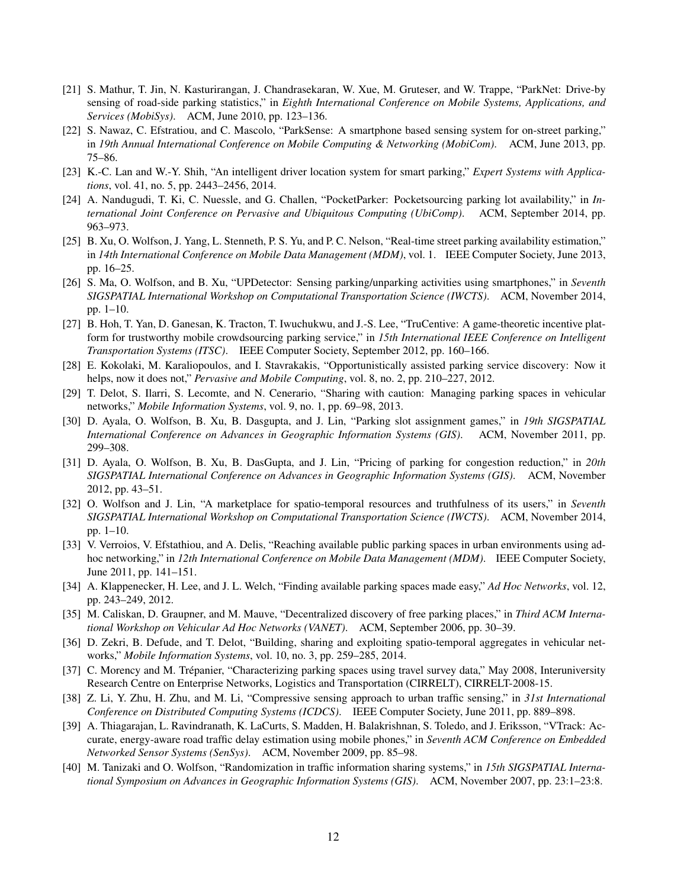- <span id="page-9-0"></span>[21] S. Mathur, T. Jin, N. Kasturirangan, J. Chandrasekaran, W. Xue, M. Gruteser, and W. Trappe, "ParkNet: Drive-by sensing of road-side parking statistics," in *Eighth International Conference on Mobile Systems, Applications, and Services (MobiSys)*. ACM, June 2010, pp. 123–136.
- <span id="page-9-1"></span>[22] S. Nawaz, C. Efstratiou, and C. Mascolo, "ParkSense: A smartphone based sensing system for on-street parking," in *19th Annual International Conference on Mobile Computing & Networking (MobiCom)*. ACM, June 2013, pp. 75–86.
- <span id="page-9-2"></span>[23] K.-C. Lan and W.-Y. Shih, "An intelligent driver location system for smart parking," *Expert Systems with Applications*, vol. 41, no. 5, pp. 2443–2456, 2014.
- <span id="page-9-3"></span>[24] A. Nandugudi, T. Ki, C. Nuessle, and G. Challen, "PocketParker: Pocketsourcing parking lot availability," in *International Joint Conference on Pervasive and Ubiquitous Computing (UbiComp)*. ACM, September 2014, pp. 963–973.
- <span id="page-9-4"></span>[25] B. Xu, O. Wolfson, J. Yang, L. Stenneth, P. S. Yu, and P. C. Nelson, "Real-time street parking availability estimation," in *14th International Conference on Mobile Data Management (MDM)*, vol. 1. IEEE Computer Society, June 2013, pp. 16–25.
- <span id="page-9-5"></span>[26] S. Ma, O. Wolfson, and B. Xu, "UPDetector: Sensing parking/unparking activities using smartphones," in *Seventh SIGSPATIAL International Workshop on Computational Transportation Science (IWCTS)*. ACM, November 2014, pp. 1–10.
- <span id="page-9-6"></span>[27] B. Hoh, T. Yan, D. Ganesan, K. Tracton, T. Iwuchukwu, and J.-S. Lee, "TruCentive: A game-theoretic incentive platform for trustworthy mobile crowdsourcing parking service," in *15th International IEEE Conference on Intelligent Transportation Systems (ITSC)*. IEEE Computer Society, September 2012, pp. 160–166.
- <span id="page-9-7"></span>[28] E. Kokolaki, M. Karaliopoulos, and I. Stavrakakis, "Opportunistically assisted parking service discovery: Now it helps, now it does not," *Pervasive and Mobile Computing*, vol. 8, no. 2, pp. 210–227, 2012.
- <span id="page-9-8"></span>[29] T. Delot, S. Ilarri, S. Lecomte, and N. Cenerario, "Sharing with caution: Managing parking spaces in vehicular networks," *Mobile Information Systems*, vol. 9, no. 1, pp. 69–98, 2013.
- <span id="page-9-9"></span>[30] D. Ayala, O. Wolfson, B. Xu, B. Dasgupta, and J. Lin, "Parking slot assignment games," in *19th SIGSPATIAL International Conference on Advances in Geographic Information Systems (GIS)*. ACM, November 2011, pp. 299–308.
- <span id="page-9-10"></span>[31] D. Ayala, O. Wolfson, B. Xu, B. DasGupta, and J. Lin, "Pricing of parking for congestion reduction," in *20th SIGSPATIAL International Conference on Advances in Geographic Information Systems (GIS)*. ACM, November 2012, pp. 43–51.
- <span id="page-9-11"></span>[32] O. Wolfson and J. Lin, "A marketplace for spatio-temporal resources and truthfulness of its users," in *Seventh SIGSPATIAL International Workshop on Computational Transportation Science (IWCTS)*. ACM, November 2014, pp. 1–10.
- <span id="page-9-12"></span>[33] V. Verroios, V. Efstathiou, and A. Delis, "Reaching available public parking spaces in urban environments using adhoc networking," in *12th International Conference on Mobile Data Management (MDM)*. IEEE Computer Society, June 2011, pp. 141–151.
- <span id="page-9-13"></span>[34] A. Klappenecker, H. Lee, and J. L. Welch, "Finding available parking spaces made easy," *Ad Hoc Networks*, vol. 12, pp. 243–249, 2012.
- <span id="page-9-14"></span>[35] M. Caliskan, D. Graupner, and M. Mauve, "Decentralized discovery of free parking places," in *Third ACM International Workshop on Vehicular Ad Hoc Networks (VANET)*. ACM, September 2006, pp. 30–39.
- <span id="page-9-15"></span>[36] D. Zekri, B. Defude, and T. Delot, "Building, sharing and exploiting spatio-temporal aggregates in vehicular networks," *Mobile Information Systems*, vol. 10, no. 3, pp. 259–285, 2014.
- <span id="page-9-16"></span>[37] C. Morency and M. Trépanier, "Characterizing parking spaces using travel survey data," May 2008, Interuniversity Research Centre on Enterprise Networks, Logistics and Transportation (CIRRELT), CIRRELT-2008-15.
- <span id="page-9-17"></span>[38] Z. Li, Y. Zhu, H. Zhu, and M. Li, "Compressive sensing approach to urban traffic sensing," in *31st International Conference on Distributed Computing Systems (ICDCS)*. IEEE Computer Society, June 2011, pp. 889–898.
- <span id="page-9-18"></span>[39] A. Thiagarajan, L. Ravindranath, K. LaCurts, S. Madden, H. Balakrishnan, S. Toledo, and J. Eriksson, "VTrack: Accurate, energy-aware road traffic delay estimation using mobile phones," in *Seventh ACM Conference on Embedded Networked Sensor Systems (SenSys)*. ACM, November 2009, pp. 85–98.
- <span id="page-9-19"></span>[40] M. Tanizaki and O. Wolfson, "Randomization in traffic information sharing systems," in *15th SIGSPATIAL International Symposium on Advances in Geographic Information Systems (GIS)*. ACM, November 2007, pp. 23:1–23:8.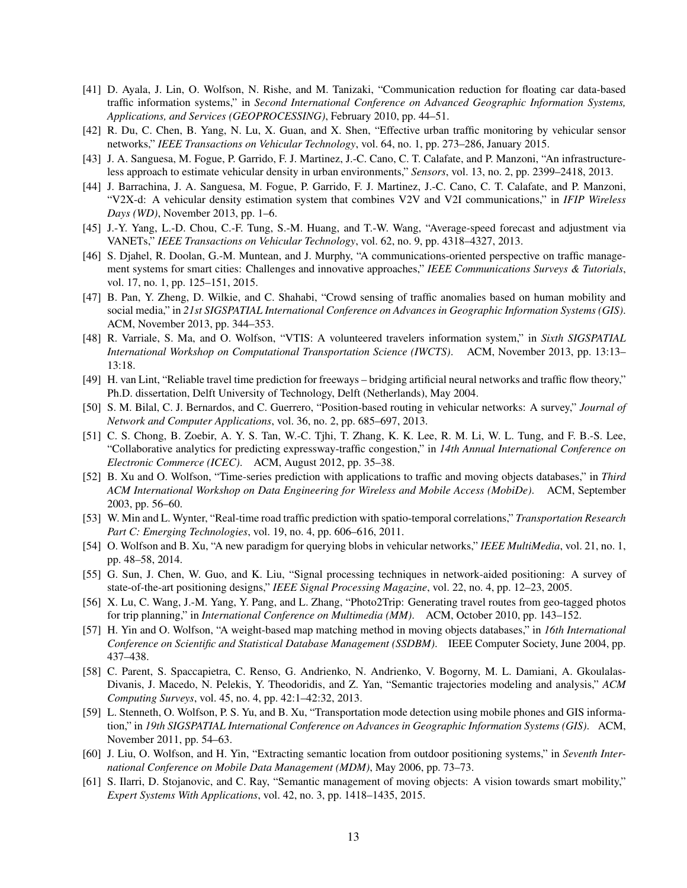- <span id="page-10-1"></span>[41] D. Ayala, J. Lin, O. Wolfson, N. Rishe, and M. Tanizaki, "Communication reduction for floating car data-based traffic information systems," in *Second International Conference on Advanced Geographic Information Systems, Applications, and Services (GEOPROCESSING)*, February 2010, pp. 44–51.
- <span id="page-10-0"></span>[42] R. Du, C. Chen, B. Yang, N. Lu, X. Guan, and X. Shen, "Effective urban traffic monitoring by vehicular sensor networks," *IEEE Transactions on Vehicular Technology*, vol. 64, no. 1, pp. 273–286, January 2015.
- <span id="page-10-2"></span>[43] J. A. Sanguesa, M. Fogue, P. Garrido, F. J. Martinez, J.-C. Cano, C. T. Calafate, and P. Manzoni, "An infrastructureless approach to estimate vehicular density in urban environments," *Sensors*, vol. 13, no. 2, pp. 2399–2418, 2013.
- <span id="page-10-3"></span>[44] J. Barrachina, J. A. Sanguesa, M. Fogue, P. Garrido, F. J. Martinez, J.-C. Cano, C. T. Calafate, and P. Manzoni, "V2X-d: A vehicular density estimation system that combines V2V and V2I communications," in *IFIP Wireless Days (WD)*, November 2013, pp. 1–6.
- <span id="page-10-4"></span>[45] J.-Y. Yang, L.-D. Chou, C.-F. Tung, S.-M. Huang, and T.-W. Wang, "Average-speed forecast and adjustment via VANETs," *IEEE Transactions on Vehicular Technology*, vol. 62, no. 9, pp. 4318–4327, 2013.
- <span id="page-10-5"></span>[46] S. Djahel, R. Doolan, G.-M. Muntean, and J. Murphy, "A communications-oriented perspective on traffic management systems for smart cities: Challenges and innovative approaches," *IEEE Communications Surveys & Tutorials*, vol. 17, no. 1, pp. 125–151, 2015.
- <span id="page-10-6"></span>[47] B. Pan, Y. Zheng, D. Wilkie, and C. Shahabi, "Crowd sensing of traffic anomalies based on human mobility and social media," in *21st SIGSPATIAL International Conference on Advances in Geographic Information Systems (GIS)*. ACM, November 2013, pp. 344–353.
- <span id="page-10-7"></span>[48] R. Varriale, S. Ma, and O. Wolfson, "VTIS: A volunteered travelers information system," in *Sixth SIGSPATIAL International Workshop on Computational Transportation Science (IWCTS)*. ACM, November 2013, pp. 13:13– 13:18.
- <span id="page-10-8"></span>[49] H. van Lint, "Reliable travel time prediction for freeways – bridging artificial neural networks and traffic flow theory," Ph.D. dissertation, Delft University of Technology, Delft (Netherlands), May 2004.
- <span id="page-10-9"></span>[50] S. M. Bilal, C. J. Bernardos, and C. Guerrero, "Position-based routing in vehicular networks: A survey," *Journal of Network and Computer Applications*, vol. 36, no. 2, pp. 685–697, 2013.
- <span id="page-10-10"></span>[51] C. S. Chong, B. Zoebir, A. Y. S. Tan, W.-C. Tjhi, T. Zhang, K. K. Lee, R. M. Li, W. L. Tung, and F. B.-S. Lee, "Collaborative analytics for predicting expressway-traffic congestion," in *14th Annual International Conference on Electronic Commerce (ICEC)*. ACM, August 2012, pp. 35–38.
- <span id="page-10-11"></span>[52] B. Xu and O. Wolfson, "Time-series prediction with applications to traffic and moving objects databases," in *Third ACM International Workshop on Data Engineering for Wireless and Mobile Access (MobiDe)*. ACM, September 2003, pp. 56–60.
- <span id="page-10-12"></span>[53] W. Min and L. Wynter, "Real-time road traffic prediction with spatio-temporal correlations," *Transportation Research Part C: Emerging Technologies*, vol. 19, no. 4, pp. 606–616, 2011.
- <span id="page-10-13"></span>[54] O. Wolfson and B. Xu, "A new paradigm for querying blobs in vehicular networks," *IEEE MultiMedia*, vol. 21, no. 1, pp. 48–58, 2014.
- <span id="page-10-14"></span>[55] G. Sun, J. Chen, W. Guo, and K. Liu, "Signal processing techniques in network-aided positioning: A survey of state-of-the-art positioning designs," *IEEE Signal Processing Magazine*, vol. 22, no. 4, pp. 12–23, 2005.
- <span id="page-10-15"></span>[56] X. Lu, C. Wang, J.-M. Yang, Y. Pang, and L. Zhang, "Photo2Trip: Generating travel routes from geo-tagged photos for trip planning," in *International Conference on Multimedia (MM)*. ACM, October 2010, pp. 143–152.
- <span id="page-10-16"></span>[57] H. Yin and O. Wolfson, "A weight-based map matching method in moving objects databases," in *16th International Conference on Scientific and Statistical Database Management (SSDBM)*. IEEE Computer Society, June 2004, pp. 437–438.
- <span id="page-10-17"></span>[58] C. Parent, S. Spaccapietra, C. Renso, G. Andrienko, N. Andrienko, V. Bogorny, M. L. Damiani, A. Gkoulalas-Divanis, J. Macedo, N. Pelekis, Y. Theodoridis, and Z. Yan, "Semantic trajectories modeling and analysis," *ACM Computing Surveys*, vol. 45, no. 4, pp. 42:1–42:32, 2013.
- <span id="page-10-18"></span>[59] L. Stenneth, O. Wolfson, P. S. Yu, and B. Xu, "Transportation mode detection using mobile phones and GIS information," in *19th SIGSPATIAL International Conference on Advances in Geographic Information Systems (GIS)*. ACM, November 2011, pp. 54–63.
- <span id="page-10-19"></span>[60] J. Liu, O. Wolfson, and H. Yin, "Extracting semantic location from outdoor positioning systems," in *Seventh International Conference on Mobile Data Management (MDM)*, May 2006, pp. 73–73.
- <span id="page-10-20"></span>[61] S. Ilarri, D. Stojanovic, and C. Ray, "Semantic management of moving objects: A vision towards smart mobility," *Expert Systems With Applications*, vol. 42, no. 3, pp. 1418–1435, 2015.